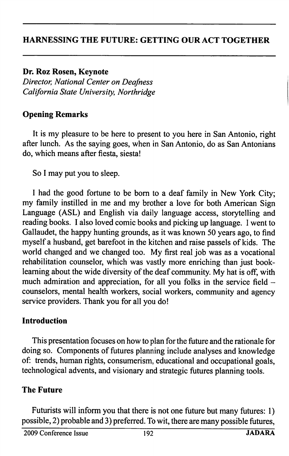### HARNESSING THE FUTURE: GETTING OUR ACT TOGETHER

Dr. Roz Rosen, Keynote Director, National Center on Deafness California State University, Northridge

### Opening Remarks

It is my pleasure to be here to present to you here in San Antonio, right after lunch. As the saying goes, when in San Antonio, do as San Antonians do, which means after fiesta, siesta!

So I may put you to sleep.

I had the good fortune to be bom to a deaf family in New York City; my family instilled in me and my brother a love for both American Sign Language (ASL) and English via daily language access, storytelling and reading books. I also loved comic books and picking up language. 1 went to Gallaudet, the happy hunting grounds, as it was known 50 years ago, to find myself a husband, get barefoot in the kitchen and raise passels of kids. The world changed and we changed too. My first real job was as a vocational rehabilitation counselor, which was vastly more enriching than just booklearning about the wide diversity of the deaf community. My hat is off, with much admiration and appreciation, for all you folks in the service field counselors, mental health workers, social workers, community and agency service providers. Thank you for all you do!

#### Introduction

This presentation focuses on how to plan for the future and the rationale for doing so. Components of futures planning include analyses and knowledge of: trends, human rights, consumerism, educational and occupational goals, technological advents, and visionary and strategic futures planning tools.

#### The Future

Futurists will inform you that there is not one future but many futures: 1) possible, 2) probable and 3) preferred. To wit, there are many possible futures,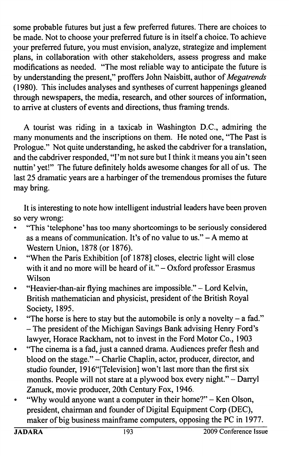some probable futures but just a few preferred futures. There are choices to be made. Not to choose your preferred future is in itself a choice. To achieve your preferred future, you must envision, analyze, strategize and implement plans, in collaboration with other stakeholders, assess progress and make modifications as needed. "The most reliable way to anticipate the future is by understanding the present," proffers John Naisbitt, author of Megatrends (1980). This includes analyses and syntheses of current happenings gleaned through newspapers, the media, research, and other sources of information, to arrive at clusters of events and directions, thus framing trends.

A tourist was riding in a taxicab in Washington D.C., admiring the many monuments and the inscriptions on them. He noted one, "The Past is Prologue." Not quite understanding, he asked the cabdriver for a translation, and the cabdriver responded, "I'm not sure but I think it means you ain't seen nuttin' yet!" The future definitely holds awesome changes for all of us. The last 25 dramatic years are a harbinger of the tremendous promises the future may bring.

It is interesting to note how intelligent industrial leaders have been proven so very wrong:

- • "This 'telephone' has too many shortcomings to be seriously considered as a means of communication. It's of no value to us." $- A$  memo at Western Union, 1878 (or 1876).
- • "When the Paris Exhibition [of 1878] closes, electric light will close with it and no more will be heard of it." $-$ Oxford professor Erasmus Wilson
- • "Heavier-than-air flying machines are impossible." - Lord Kelvin, British mathematician and physicist, president of the British Royal Society, 1895.
- •"The horse is here to stay but the automobile is only a novelty  $-$  a fad." - The president of the Michigan Savings Bank advising Henry Ford's lawyer, Horace Rackham, not to invest in the Ford Motor Co., 1903
- • "The cinema is a fad, just a canned drama. Audiences prefer flesh and blood on the stage." - Charlie Chaplin, actor, producer, director, and studio founder, 1916"[Television] won't last more than the first six months. People will not stare at a plywood box every night." - Darryl Zanuck, movie producer, 20th Century Fox, 1946.
- • "Why would anyone want a computer in their home?" - Ken Olson, president, chairman and founder of Digital Equipment Corp (DEC), maker of big business mainframe computers, opposing the PC in 1977.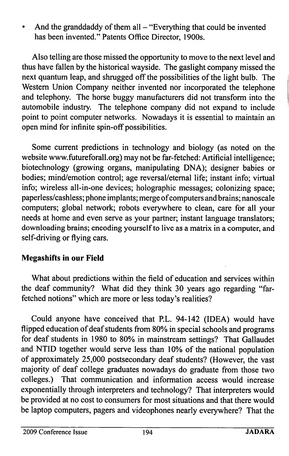•And the granddaddy of them all  $-$  "Everything that could be invented has been invented." Patents Office Director, 1900s.

Also telling are those missed the opportunity to move to the next level and thus have fallen by the historical wayside. The gaslight company missed the next quantum leap, and shrugged off the possibilities of the light bulb. The Western Union Company neither invented nor incorporated the telephone and telephony. The horse buggy manufacturers did not transform into the automobile industry. The telephone company did not expand to include point to point computer networks. Nowadays it is essential to maintain an open mind for infinite spin-off possibilities.

Some current predictions in technology and biology (as noted on the website www.futureforall.org) may not be far-fetched: Artificial intelligence; biotechnology (growing organs, manipulating DNA); designer babies or bodies; mind/emotion control; age reversal/eternal life; instant info; virtual info; wireless all-in-one devices; holographic messages; colonizing space; paperless/cashless; phone implants; merge of computers and brains; nanoscale computers; global network; robots everywhere to clean, care for all your needs at home and even serve as your partner; instant language translators; downloading brains; encoding yourself to live as a matrix in a computer, and self-driving or flying cars.

## Megashifts in our Field

What about predictions within the field of education and services within the deaf community? What did they think 30 years ago regarding "far fetched notions" which are more or less today's realities?

Could anyone have conceived that P.L. 94-142 (IDEA) would have flipped education of deaf students from 80% in special schools and programs for deaf students in 1980 to 80% in mainstream settings? That Gallaudet and NTID together would serve less than 10% of the national population of approximately 25,000 postsecondary deaf students? (However, the vast majority of deaf college graduates nowadays do graduate from those two colleges.) That communication and information access would increase exponentially through interpreters and technology? That interpreters would be provided at no cost to consumers for most situations and that there would be laptop computers, pagers and videophones nearly everywhere? That the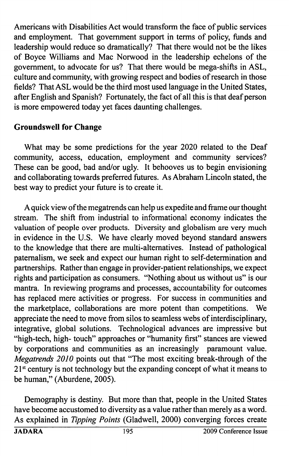Americans with Disabilities Act would transform the face of public services and employment. That government support in terms of policy, funds and leadership would reduce so dramatically? That there would not be the likes of Boyce Williams and Mac Norwood in the leadership echelons of the government, to advocate for us? That there would be mega-shifts in ASL, culture and community, with growing respect and bodies of research in those fields? That ASL would be the third most used language in the United States, after English and Spanish? Fortunately, the fact of all this is that deaf person is more empowered today yet faces daunting challenges,

## Groundswell for Change

What may be some predictions for the year 2020 related to the Deaf community, access, education, employment and community services? These can be good, bad and/or ugly. It behooves us to begin envisioning and collaborating towards preferred futures. As Abraham Lincoln stated, the best way to predict your future is to create it.

A quick view of the megatrends can help us expedite and frame our thought stream. The shift from industrial to informational economy indicates the valuation of people over products. Diversity and globalism are very much in evidence in the U.S. We have clearly moved beyond standard answers to the knowledge that there are multi-altematives. Instead of pathological paternalism, we seek and expect our human right to self-determination and partnerships. Rather than engage in provider-patient relationships, we expect rights and participation as consumers. "Nothing about us without us" is our mantra. In reviewing programs and processes, accountability for outcomes has replaced mere activities or progress. For success in communities and the marketplace, collaborations are more potent than competitions. We appreciate the need to move from silos to seamless webs of interdisciplinary, integrative, global solutions. Technological advances are impressive but "high-tech, high- touch" approaches or "humanity first" stances are viewed by corporations and communities as an increasingly paramount value. Megatrends 2010 points out that "The most exciting break-through of the 21<sup>st</sup> century is not technology but the expanding concept of what it means to be human," (Aburdene, 2005).

Demography is destiny. But more than that, people in the United States have become accustomed to diversity as a value rather than merely as a word. As explained in Tipping Points (Gladwell, 2000) converging forces create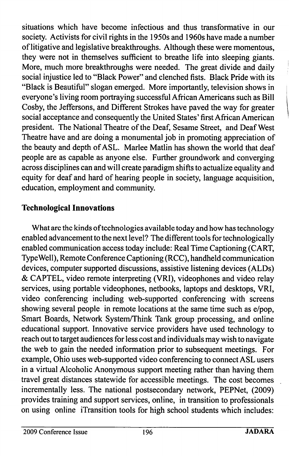situations which have become infectious and thus transformative in our society. Activists for civil rights in the 1950s and 1960s have made a number of litigative and legislative breakthroughs. Although these were momentous, they were not in themselves sufficient to breathe life into sleeping giants. More, much more breakthroughs were needed. The great divide and daily social injustice led to "Black Power" and clenched fists. Black Pride with its "Black is Beautiful" slogan emerged. More importantly, television shows in everyone's living room portraying successful African Americans such as Bill Cosby, the Jeffersons, and Different Strokes have paved the way for greater social acceptance and consequently the United States' first African American president. The National Theatre of the Deaf, Sesame Street, and Deaf West Theatre have and are doing a monumental job in promoting appreciation of the beauty and depth of ASL. Marlee Matlin has shown the world that deaf people are as capable as anyone else. Further groundwork and converging across disciplines can and will create paradigm shifts to actualize equality and equity for deaf and hard of hearing people in society, language acquisition, education, employment and community.

# Technological Innovations

What are the kinds of technologies available today and how has technology enabled advancement to the next level? The different tools for technologically enabled communication access today include: Real Time Captioning (CART, Type Well), Remote Conference Captioning (RCC), handheld communication devices, computer supported discussions, assistive listening devices (ALDs) & CAPTEL, video remote interpreting (VRI), videophones and video relay services, using portable videophones, netbooks, laptops and desktops, VRI, video conferencing including web-supported conferencing with screens showing several people in remote locations at the same time such as e/pop. Smart Boards, Network System/Think Tank group processing, and online educational support. Innovative service providers have used technology to reach out to target audiences for less cost and individuals may wish to navigate the web to gain the needed information prior to subsequent meetings. For example, Ohio uses web-supported video conferencing to connect ASL users in a virtual Alcoholic Anonymous support meeting rather than having them travel great distances statewide for accessible meetings. The cost becomes incrementally less. The national postsecondary network, PEPNet, (2009) provides training and support services, online, in transition to professionals on using online iTransition tools for high school students which includes: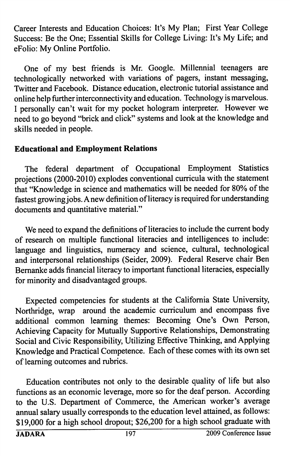Career Interests and Education Choices: It's My Plan; First Year College Success: Be the One; Essential Skills for College Living: It's My Life; and eFolio: My Online Portfolio.

One of my best friends is Mr. Google. Millennial teenagers are technologically networked with variations of pagers, instant messaging. Twitter and Facebook. Distance education, electronic tutorial assistance and online help further interconnectivity and education. Technology is marvelous. I personally can't wait for my pocket hologram interpreter. However we need to go beyond "brick and click" systems and look at the knowledge and skills needed in people.

### Educational and Employment Relations

The federal department of Occupational Employment Statistics projections (2000-2010) explodes conventional curricula with the statement that "Knowledge in science and mathematics will be needed for 80% of the fastest growing jobs. Anew definition of literacy is required for understanding documents and quantitative material."

We need to expand the definitions of literacies to include the current body of research on multiple functional literacies and intelligences to include: language and linguistics, numeracy and science, cultural, technological and interpersonal relationships (Seider, 2009). Federal Reserve chair Ben Bemanke adds financial literacy to important functional literacies, especially for minority and disadvantaged groups.

Expected competencies for students at the Califomia State University, Northridge, wrap around the academic curriculum and encompass five additional common learning themes: Becoming One's Own Person, Achieving Capacity for Mutually Supportive Relationships, Demonstrating Social and Civic Responsibility, Utilizing Effective Thinking, and Applying Knowledge and Practical Competence. Each of these comes with its own set of learning outcomes and rubrics.

Education contributes not only to the desirable quality of life but also functions as an economic leverage, more so for the deaf person. According to the U.S. Department of Commerce, the American worker's average annual salary usually corresponds to the education level attained, as follows: \$19,000 for a high school dropout; \$26,200 for a high school graduate with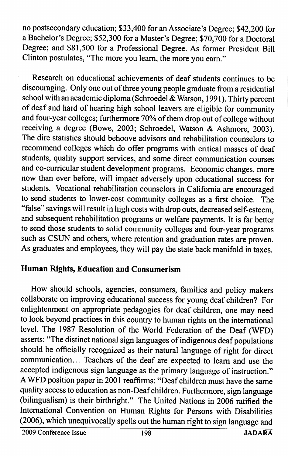no postsecondary education; \$33,400 for an Associate's Degree; \$42,200 for a Bachelor's Degree; \$52,300 for a Master's Degree; \$70,700 for a Doctoral Degree; and \$81,500 for a Professional Degree. As former President Bill Clinton postulates, "The more you learn, the more you eam."

Research on educational achievements of deaf students continues to be discouraging. Only one out of three young people graduate from a residential school with an academic diploma (Schroedel & Watson, 1991). Thirty percent of deaf and hard of hearing high school leavers are eligible for community and four-year colleges; furthermore 70% of them drop out of college without receiving a degree (Bowe, 2003; Schroedel, Watson & Ashmore, 2003). The dire statistics should behoove advisors and rehabilitation counselors to recommend colleges which do offer programs with critical masses of deaf students, quality support services, and some direct communication courses and co-curricular student development programs. Economic changes, more now than ever before, will impact adversely upon educational success for students. Vocational rehabilitation counselors in Califomia are encouraged to send students to lower-cost community colleges as a first choice. The "false" savings will result in high costs with drop outs, decreased self-esteem, and subsequent rehabilitation programs or welfare payments. It is far better to send those students to solid community colleges and four-year programs such as CSUN and others, where retention and graduation rates are proven. As graduates and employees, they will pay the state back manifold in taxes.

# Human Rights, Education and Consumerism

How should schools, agencies, consumers, families and policy makers collaborate on improving educational success for young deaf children? For enlightenment on appropriate pedagogies for deaf children, one may need to look beyond practices in this country to human rights on the international level. The 1987 Resolution of the World Federation of the Deaf (WFD) asserts: "The distinct national sign languages of indigenous deaf populations should be officially recognized as their natural language of right for direct communication... Teachers of the deaf are expected to learn and use the accepted indigenous sign language as the primary language of instruction." A WFD position paper in 2001 reaffirms: "Deaf children must have the same quality access to education as non-Deaf children. Furthermore, sign language (bilingualism) is their birthright." The United Nations in 2006 ratified the International Convention on Human Rights for Persons with Disabilities (2006), which unequivocally spells out the human right to sign language and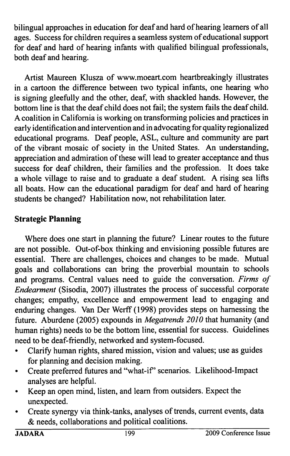bilingual approaches in education for deaf and hard of hearing learners of all ages. Success for children requires a seamless system of educational support for deaf and hard of hearing infants with qualified bilingual professionals, both deaf and hearing.

Artist Maureen Klusza of www.moeart.com heartbreakingly illustrates in a cartoon the difference between two typical infants, one hearing who is signing gleefully and the other, deaf, with shackled hands. However, the bottom line is that the deaf child does not fail; the system fails the deaf child. A coalition in Califomia is working on transforming policies and practices in early identification and intervention and in advocating for quality regionalized educational programs. Deaf people, ASL, culture and community are part of the vibrant mosaic of society in the United States. An understanding, appreciation and admiration of these will lead to greater acceptance and thus success for deaf children, their families and the profession. It does take a whole village to raise and to graduate a deaf student. A rising sea lifts all boats. How can the educational paradigm for deaf and hard of hearing students be changed? Habilitation now, not rehabilitation later.

# Strategic Planning

Where does one start in planning the future? Linear routes to the future are not possible. Out-of-box thinking and envisioning possible futures are essential. There are challenges, choices and changes to be made. Mutual goals and collaborations can bring the proverbial mountain to schools and programs. Central values need to guide the conversation. Firms of Endearment (Sisodia, 2007) illustrates the process of successful corporate changes; empathy, excellence and empowerment lead to engaging and enduring changes. Van Der Werff (1998) provides steps on hamessing the future. Aburdene (2005) expounds in Megatrends 2010 that humanity (and human rights) needs to be the bottom line, essential for success. Guidelines need to be deaf-friendly, networked and system-focused.

- • Clarify human rights, shared mission, vision and values; use as guides for planning and decision making.
- •Create preferred futures and "what-if" scenarios. Likelihood-Impact analyses are helpful.
- • Keep an open mind, listen, and learn from outsiders. Expect the unexpected.
- $\bullet$  Create synergy via think-tanks, analyses of trends, current events, data & needs, collaborations and political coalitions.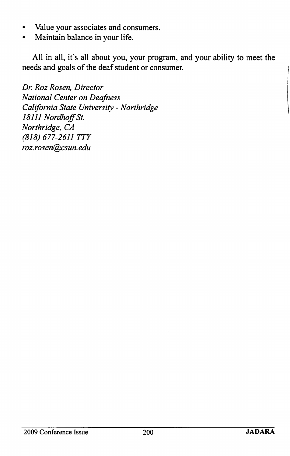- •Value your associates and consumers.
- •Maintain balance in your life.

All in all, it's all about you, your program, and your ability to meet the needs and goals of the deaf student or consumer.

Dr. Roz Rosen, Director National Center on Deafness California State University - Northridge 18111 Nordhoff St. Northridge, CA (818) 677-2611 TTY roz. rosen@csun. edu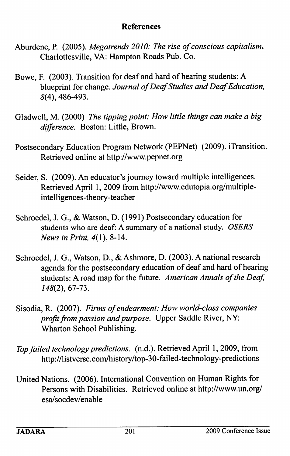#### References

- Aburdene, P. (2005). Megatrends 2010: The rise of conscious capitalism, Charlottesville, VA: Hampton Roads Pub. Co.
- Bowe, F. (2003). Transition for deaf and hard of hearing students: A blueprint for change. Journal of Deaf Studies and Deaf Education, 8(4), 486-493.
- Gladwell, M. (2000) The tipping point: How little things can make a big difference. Boston: Little, Brown.
- Postsecondary Education Program Network (PEPNet) (2009). iTransition. Retrieved online at http://www.pepnet.org
- Seider, S. (2009). An educator's journey toward multiple intelligences. Retrieved April 1, 2009 from http://www.edutopia.org/multipleintelligences-theory-teacher
- Schroedel, J. G., & Watson, D. (1991) Postsecondary education for students who are deaf: A summary of a national study. OSERS News in Print, 4(1), 8-14.
- Schroedel, J. G., Watson, D., & Ashmore, D. (2003). A national research agenda for the postsecondary education of deaf and hard of hearing students: A road map for the future. American Annals of the Deaf, 148(2), 67-73.
- Sisodia, R. (2007). Firms of endearment: How world-class companies profit from passion and purpose. Upper Saddle River, NY: Wharton School Publishing.
- Top failed technology predictions, (n.d.). Retrieved April 1, 2009, from http://listverse.com/history/top-30-failed-technology-predictions
- United Nations. (2006). International Convention on Human Rights for Persons with Disabilities. Retrieved online at http://www.un.org/ esa/socdev/enable